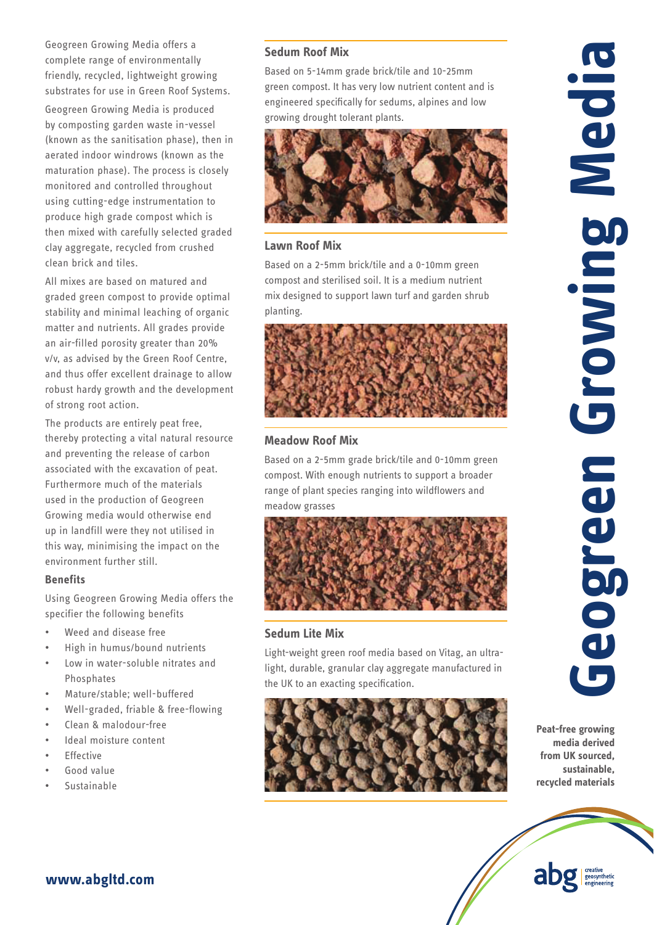Geogreen Growing Media offers a complete range of environmentally friendly, recycled, lightweight growing substrates for use in Green Roof Systems. Geogreen Growing Media is produced by composting garden waste in-vessel (known as the sanitisation phase), then in aerated indoor windrows (known as the maturation phase). The process is closely monitored and controlled throughout using cutting-edge instrumentation to produce high grade compost which is then mixed with carefully selected graded clay aggregate, recycled from crushed clean brick and tiles.

All mixes are based on matured and graded green compost to provide optimal stability and minimal leaching of organic matter and nutrients. All grades provide an air-filled porosity greater than 20% v/v, as advised by the Green Roof Centre, and thus offer excellent drainage to allow robust hardy growth and the development of strong root action.

The products are entirely peat free, thereby protecting a vital natural resource and preventing the release of carbon associated with the excavation of peat. Furthermore much of the materials used in the production of Geogreen Growing media would otherwise end up in landfill were they not utilised in this way, minimising the impact on the environment further still.

#### **Benefits**

Using Geogreen Growing Media offers the specifier the following benefits

- Weed and disease free
- High in humus/bound nutrients
- Low in water-soluble nitrates and Phosphates
- Mature/stable: well-buffered
- Well-graded, friable & free-flowing
- Clean & malodour-free
- Ideal moisture content

**www.abgltd.com**

- **Fffective**
- Good value
- **Sustainable**

### **Sedum Roof Mix**

Based on 5-14mm grade brick/tile and 10-25mm green compost. It has very low nutrient content and is engineered specifically for sedums, alpines and low growing drought tolerant plants.



## **Lawn Roof Mix**

Based on a 2-5mm brick/tile and a 0-10mm green compost and sterilised soil. It is a medium nutrient mix designed to support lawn turf and garden shrub planting.



### **Meadow Roof Mix**

Based on a 2-5mm grade brick/tile and 0-10mm green compost. With enough nutrients to support a broader range of plant species ranging into wildflowers and meadow grasses



# **Sedum Lite Mix**

Light-weight green roof media based on Vitag, an ultralight, durable, granular clay aggregate manufactured in the UK to an exacting specification.



**Peat-free growing media derived from UK sourced, sustainable,**  recycled materials

abg seosynthetic